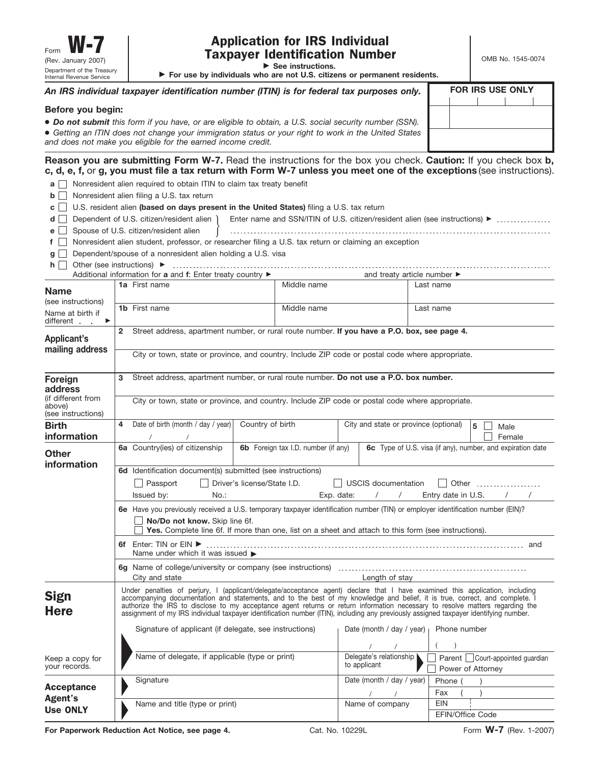# Application for IRS Individual Taxpayer Identification Number

▶ See instructions.

OMB No. 1545-0074

. . . . . . . . . . .

© **For use by individuals who are not U.S. citizens or permanent residents.**

| An IRS individual taxpayer identification number (ITIN) is for federal tax purposes only.                                                                                                                                                                                                           | <b>FOR IRS USE ONLY</b> |  |  |
|-----------------------------------------------------------------------------------------------------------------------------------------------------------------------------------------------------------------------------------------------------------------------------------------------------|-------------------------|--|--|
| Before you begin:<br>• Do not submit this form if you have, or are eligible to obtain, a U.S. social security number (SSN).<br>• Getting an ITIN does not change your immigration status or your right to work in the United States<br>and does not make you eligible for the earned income credit. |                         |  |  |

**Reason you are submitting Form W-7.** Read the instructions for the box you check. **Caution:** If you check box **b, c, d, e, f,** or **g, you must file a tax return with Form W-7 unless you meet one of the exceptions** (see instructions).

**a**  $\Box$  Nonresident alien required to obtain ITIN to claim tax treaty benefit

**b**  $\Box$  Nonresident alien filing a U.S. tax return

U.S. resident alien **(based on days present in the United States)** filing a U.S. tax return **c**

|  | d □ Dependent of U.S. citizen/resident alien   Enter name and SSN/ITIN of U.S. citizen/resident alien (see instructions) ▶ | . |
|--|----------------------------------------------------------------------------------------------------------------------------|---|
|--|----------------------------------------------------------------------------------------------------------------------------|---|

| $d \mid$ Dependent of U.S. citizen/resident alien $\mid$ |  | Enter name and SSN/ITIN of U.S. citizen/resident alien (see instructions) $\blacktriangleright$ |  |
|----------------------------------------------------------|--|-------------------------------------------------------------------------------------------------|--|
| $e \Box$ Spouse of U.S. citizen/resident alien           |  |                                                                                                 |  |

**f**  $\Box$  Nonresident alien student, professor, or researcher filing a U.S. tax return or claiming an exception

|                                                                                                               |                                                                                                                                                                                                                                                             | $\blacksquare$ Thourshood it alien student, professor, or researcher filling a O.S. tax return or claiming an exception |                             |                                     |  |                                                                                                  |                       |
|---------------------------------------------------------------------------------------------------------------|-------------------------------------------------------------------------------------------------------------------------------------------------------------------------------------------------------------------------------------------------------------|-------------------------------------------------------------------------------------------------------------------------|-----------------------------|-------------------------------------|--|--------------------------------------------------------------------------------------------------|-----------------------|
| $q \mid \cdot$                                                                                                |                                                                                                                                                                                                                                                             | Dependent/spouse of a nonresident alien holding a U.S. visa                                                             |                             |                                     |  |                                                                                                  |                       |
|                                                                                                               |                                                                                                                                                                                                                                                             |                                                                                                                         |                             |                                     |  |                                                                                                  |                       |
| Additional information for a and f: Enter treaty country ▶<br>and treaty article number $\blacktriangleright$ |                                                                                                                                                                                                                                                             |                                                                                                                         |                             |                                     |  |                                                                                                  |                       |
| <b>Name</b>                                                                                                   |                                                                                                                                                                                                                                                             | 1a First name                                                                                                           |                             | Middle name                         |  | Last name                                                                                        |                       |
| (see instructions)<br>Name at birth if<br>different<br>$\blacktriangleright$                                  |                                                                                                                                                                                                                                                             | 1b First name                                                                                                           |                             | Middle name                         |  | Last name                                                                                        |                       |
| Applicant's<br>mailing address                                                                                | $\overline{2}$                                                                                                                                                                                                                                              |                                                                                                                         |                             |                                     |  | Street address, apartment number, or rural route number. If you have a P.O. box, see page 4.     |                       |
|                                                                                                               |                                                                                                                                                                                                                                                             |                                                                                                                         |                             |                                     |  | City or town, state or province, and country. Include ZIP code or postal code where appropriate. |                       |
| Foreign<br>address                                                                                            | 3                                                                                                                                                                                                                                                           | Street address, apartment number, or rural route number. Do not use a P.O. box number.                                  |                             |                                     |  |                                                                                                  |                       |
| (if different from<br>above)<br>(see instructions)                                                            |                                                                                                                                                                                                                                                             | City or town, state or province, and country. Include ZIP code or postal code where appropriate.                        |                             |                                     |  |                                                                                                  |                       |
| <b>Birth</b>                                                                                                  |                                                                                                                                                                                                                                                             | 4 Date of birth (month / day / year)                                                                                    | Country of birth            |                                     |  | City and state or province (optional)                                                            | 5<br>Male             |
| information                                                                                                   |                                                                                                                                                                                                                                                             | $\prime$                                                                                                                |                             |                                     |  |                                                                                                  | Female                |
| <b>Other</b>                                                                                                  |                                                                                                                                                                                                                                                             | 6a Country(ies) of citizenship                                                                                          |                             | 6b Foreign tax I.D. number (if any) |  | 6c Type of U.S. visa (if any), number, and expiration date                                       |                       |
| information                                                                                                   |                                                                                                                                                                                                                                                             | 6d Identification document(s) submitted (see instructions)                                                              |                             |                                     |  |                                                                                                  |                       |
|                                                                                                               |                                                                                                                                                                                                                                                             | Passport                                                                                                                | Driver's license/State I.D. |                                     |  | USCIS documentation                                                                              | $\vert \ \vert$ Other |
|                                                                                                               |                                                                                                                                                                                                                                                             | Issued by:<br>$No.$ :                                                                                                   |                             | Exp. date:                          |  | $\sqrt{1}$<br>Entry date in U.S.                                                                 | $\sqrt{2}$            |
|                                                                                                               | 6e Have you previously received a U.S. temporary taxpayer identification number (TIN) or employer identification number (EIN)?                                                                                                                              |                                                                                                                         |                             |                                     |  |                                                                                                  |                       |
|                                                                                                               | No/Do not know. Skip line 6f.<br>Yes. Complete line 6f. If more than one, list on a sheet and attach to this form (see instructions).                                                                                                                       |                                                                                                                         |                             |                                     |  |                                                                                                  |                       |
|                                                                                                               |                                                                                                                                                                                                                                                             | Name under which it was issued $\blacktriangleright$                                                                    |                             |                                     |  |                                                                                                  |                       |
|                                                                                                               |                                                                                                                                                                                                                                                             | City and state                                                                                                          |                             |                                     |  | Length of stay                                                                                   |                       |
| Sign                                                                                                          | Under penalties of perjury, I (applicant/delegate/acceptance agent) declare that I have examined this application, including<br>accompanying documentation and statements, and to the best of my knowledge and belief, it is true, correct, and complete. I |                                                                                                                         |                             |                                     |  |                                                                                                  |                       |

| Under penalties of perjury, I (applicant/delegate/acceptance agent) declare that I have examined this application, including          |
|---------------------------------------------------------------------------------------------------------------------------------------|
| accompanying documentation and statements, and to the best of my knowledge and belief, it is true, correct, and complete. I           |
| authorize the IRS to disclose to my acceptance agent returns or return information necessary to resolve matters regarding the         |
| assignment of my IRS individual taxpayer identification number (ITIN), including any previously assigned taxpayer identifying number. |
|                                                                                                                                       |
| Signature of applicant (if delegate, see instructions)<br>Date (month / day / year) $\vert$ Phone number                              |

| Keep a copy for<br>your records. | Name of delegate, if applicable (type or print) | Delegate's relationship<br>to applicant | Parent Court-appointed guardian<br>Power of Attorney |
|----------------------------------|-------------------------------------------------|-----------------------------------------|------------------------------------------------------|
|                                  | Signature                                       | Date (month / day / year)               | Phone                                                |
| Acceptance<br>Agent's            |                                                 |                                         | Fax                                                  |
| <b>Use ONLY</b>                  | Name and title (type or print)                  | Name of company                         | <b>EIN</b>                                           |
|                                  |                                                 |                                         | <b>EFIN/Office Code</b>                              |

**For Paperwork Reduction Act Notice, see page 4.** Cat. No. 10229L Form W-7 (Rev. 1-2007)

**Here**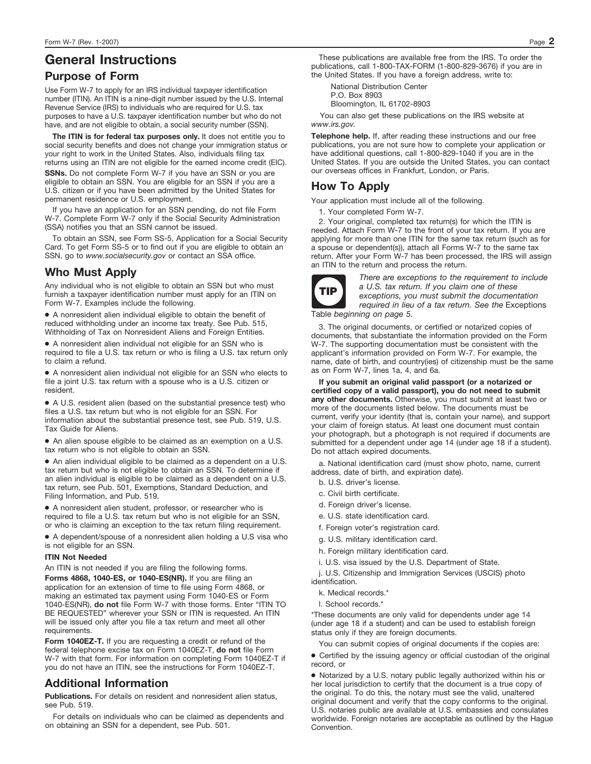# **General Instructions**

#### **Purpose of Form**

Use Form W-7 to apply for an IRS individual taxpayer identification number (ITIN). An ITIN is a nine-digit number issued by the U.S. Internal Revenue Service (IRS) to individuals who are required for U.S. tax purposes to have a U.S. taxpayer identification number but who do not have, and are not eligible to obtain, a social security number (SSN).

**The ITIN is for federal tax purposes only.** It does not entitle you to social security benefits and does not change your immigration status or your right to work in the United States. Also, individuals filing tax returns using an ITIN are not eligible for the earned income credit (EIC).

**SSNs.** Do not complete Form W-7 if you have an SSN or you are eligible to obtain an SSN. You are eligible for an SSN if you are a U.S. citizen or if you have been admitted by the United States for permanent residence or U.S. employment.

If you have an application for an SSN pending, do not file Form W-7. Complete Form W-7 only if the Social Security Administration (SSA) notifies you that an SSN cannot be issued.

To obtain an SSN, see Form SS-5, Application for a Social Security Card. To get Form SS-5 or to find out if you are eligible to obtain an SSN, go to *www.socialsecurity.gov* or contact an SSA office.

### **Who Must Apply**

Any individual who is not eligible to obtain an SSN but who must furnish a taxpayer identification number must apply for an ITIN on Form W-7. Examples include the following.

● A nonresident alien individual eligible to obtain the benefit of reduced withholding under an income tax treaty. See Pub. 515, Withholding of Tax on Nonresident Aliens and Foreign Entities.

● A nonresident alien individual not eligible for an SSN who is required to file a U.S. tax return or who is filing a U.S. tax return only to claim a refund.

● A nonresident alien individual not eligible for an SSN who elects to file a joint U.S. tax return with a spouse who is a U.S. citizen or resident.

● A U.S. resident alien (based on the substantial presence test) who files a U.S. tax return but who is not eligible for an SSN. For information about the substantial presence test, see Pub. 519, U.S. Tax Guide for Aliens.

● An alien spouse eligible to be claimed as an exemption on a U.S. tax return who is not eligible to obtain an SSN.

● An alien individual eligible to be claimed as a dependent on a U.S. tax return but who is not eligible to obtain an SSN. To determine if an alien individual is eligible to be claimed as a dependent on a U.S. tax return, see Pub. 501, Exemptions, Standard Deduction, and Filing Information, and Pub. 519.

● A nonresident alien student, professor, or researcher who is required to file a U.S. tax return but who is not eligible for an SSN, or who is claiming an exception to the tax return filing requirement.

● A dependent/spouse of a nonresident alien holding a U.S visa who is not eligible for an SSN.

#### **ITIN Not Needed**

**Forms 4868, 1040-ES, or 1040-ES(NR).** If you are filing an application for an extension of time to file using Form 4868, or making an estimated tax payment using Form 1040-ES or Form 1040-ES(NR), **do not** file Form W-7 with those forms. Enter "ITIN TO BE REQUESTED" wherever your SSN or ITIN is requested. An ITIN will be issued only after you file a tax return and meet all other requirements. An ITIN is not needed if you are filing the following forms.

**Form 1040EZ-T.** If you are requesting a credit or refund of the federal telephone excise tax on Form 1040EZ-T, **do not** file Form W-7 with that form. For information on completing Form 1040EZ-T if you do not have an ITIN, see the instructions for Form 1040EZ-T.

### **Additional Information**

**Publications.** For details on resident and nonresident alien status, see Pub. 519.

For details on individuals who can be claimed as dependents and on obtaining an SSN for a dependent, see Pub. 501.

These publications are available free from the IRS. To order the publications, call 1-800-TAX-FORM (1-800-829-3676) if you are in the United States. If you have a foreign address, write to:

National Distribution Center P.O. Box 8903 Bloomington, IL 61702-8903

You can also get these publications on the IRS website at *www.irs.gov.*

**Telephone help.** If, after reading these instructions and our free publications, you are not sure how to complete your application or have additional questions, call 1-800-829-1040 if you are in the United States. If you are outside the United States, you can contact our overseas offices in Frankfurt, London, or Paris.

## **How To Apply**

Your application must include all of the following.

1. Your completed Form W-7.

2. Your original, completed tax return(s) for which the ITIN is needed. Attach Form W-7 to the front of your tax return. If you are applying for more than one ITIN for the same tax return (such as for a spouse or dependent(s)), attach all Forms W-7 to the same tax return. After your Form W-7 has been processed, the IRS will assign an ITIN to the return and process the return.



*There are exceptions to the requirement to include a U.S. tax return. If you claim one of these exceptions, you must submit the documentation required in lieu of a tax return. See the* Exceptions Table *beginning on page 5.*

3. The original documents, or certified or notarized copies of documents, that substantiate the information provided on the Form W-7. The supporting documentation must be consistent with the applicant's information provided on Form W-7. For example, the name, date of birth, and country(ies) of citizenship must be the same as on Form W-7, lines 1a, 4, and 6a.

**If you submit an original valid passport (or a notarized or certified copy of a valid passport), you do not need to submit any other documents.** Otherwise, you must submit at least two or more of the documents listed below. The documents must be current, verify your identity (that is, contain your name), and support your claim of foreign status. At least one document must contain your photograph, but a photograph is not required if documents are submitted for a dependent under age 14 (under age 18 if a student). Do not attach expired documents.

a. National identification card (must show photo, name, current address, date of birth, and expiration date).

- b. U.S. driver's license.
- c. Civil birth certificate.
- d. Foreign driver's license.
- e. U.S. state identification card.
- f. Foreign voter's registration card.
- g. U.S. military identification card.
- h. Foreign military identification card.
- i. U.S. visa issued by the U.S. Department of State.

j. U.S. Citizenship and Immigration Services (USCIS) photo identification.

- k. Medical records.\*
- l. School records.<sup>\*</sup>

\*These documents are only valid for dependents under age 14 (under age 18 if a student) and can be used to establish foreign status only if they are foreign documents.

You can submit copies of original documents if the copies are:

● Certified by the issuing agency or official custodian of the original record, or

● Notarized by a U.S. notary public legally authorized within his or her local jurisdiction to certify that the document is a true copy of the original. To do this, the notary must see the valid, unaltered original document and verify that the copy conforms to the original. U.S. notaries public are available at U.S. embassies and consulates worldwide. Foreign notaries are acceptable as outlined by the Hague **Convention**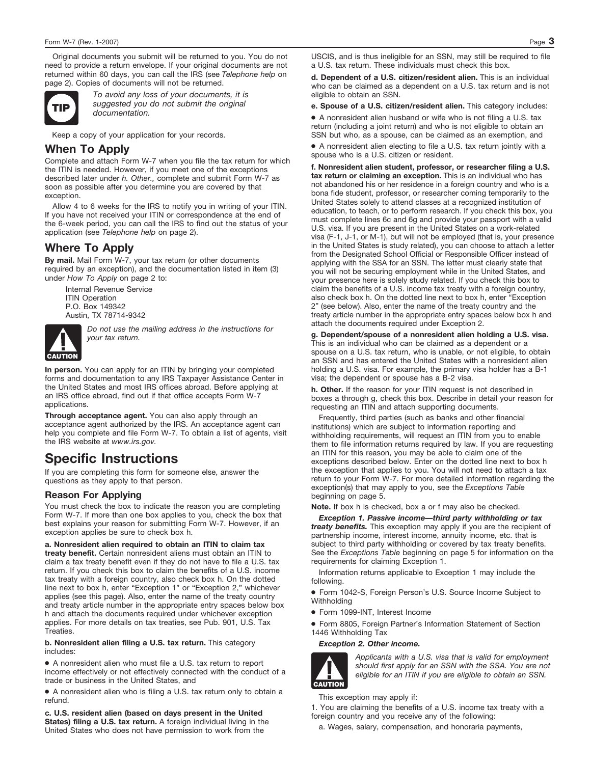Original documents you submit will be returned to you. You do not need to provide a return envelope. If your original documents are not returned within 60 days, you can call the IRS (see *Telephone help* on page 2). Copies of documents will not be returned.



*To avoid any loss of your documents, it is suggested you do not submit the original documentation.* TIP

Keep a copy of your application for your records.

### **When To Apply**

Complete and attach Form W-7 when you file the tax return for which the ITIN is needed. However, if you meet one of the exceptions described later under *h. Other.,* complete and submit Form W-7 as soon as possible after you determine you are covered by that exception.

Allow 4 to 6 weeks for the IRS to notify you in writing of your ITIN. If you have not received your ITIN or correspondence at the end of the 6-week period, you can call the IRS to find out the status of your application (see *Telephone help* on page 2).

# **Where To Apply**

**By mail.** Mail Form W-7, your tax return (or other documents required by an exception), and the documentation listed in item (3) under *How To Apply* on page 2 to:

Internal Revenue Service **ITIN Operation** P.O. Box 149342 Austin, TX 78714-9342



*Do not use the mailing address in the instructions for your tax return.*

**In person.** You can apply for an ITIN by bringing your completed forms and documentation to any IRS Taxpayer Assistance Center in the United States and most IRS offices abroad. Before applying at an IRS office abroad, find out if that office accepts Form W-7 applications.

**Through acceptance agent.** You can also apply through an acceptance agent authorized by the IRS. An acceptance agent can help you complete and file Form W-7. To obtain a list of agents, visit the IRS website at *www.irs.gov.*

# **Specific Instructions**

If you are completing this form for someone else, answer the questions as they apply to that person.

#### **Reason For Applying**

You must check the box to indicate the reason you are completing Form W-7. If more than one box applies to you, check the box that best explains your reason for submitting Form W-7. However, if an exception applies be sure to check box h.

**a. Nonresident alien required to obtain an ITIN to claim tax treaty benefit.** Certain nonresident aliens must obtain an ITIN to claim a tax treaty benefit even if they do not have to file a U.S. tax return. If you check this box to claim the benefits of a U.S. income tax treaty with a foreign country, also check box h. On the dotted line next to box h, enter "Exception 1" or "Exception 2," whichever applies (see this page). Also, enter the name of the treaty country and treaty article number in the appropriate entry spaces below box h and attach the documents required under whichever exception applies. For more details on tax treaties, see Pub. 901, U.S. Tax Treaties.

**b. Nonresident alien filing a U.S. tax return.** This category includes:

● A nonresident alien who must file a U.S. tax return to report income effectively or not effectively connected with the conduct of a trade or business in the United States, and

● A nonresident alien who is filing a U.S. tax return only to obtain a refund.

**c. U.S. resident alien (based on days present in the United States) filing a U.S. tax return.** A foreign individual living in the United States who does not have permission to work from the

USCIS, and is thus ineligible for an SSN, may still be required to file a U.S. tax return. These individuals must check this box.

**d. Dependent of a U.S. citizen/resident alien.** This is an individual who can be claimed as a dependent on a U.S. tax return and is not eligible to obtain an SSN.

**e. Spouse of a U.S. citizen/resident alien.** This category includes:

● A nonresident alien husband or wife who is not filing a U.S. tax return (including a joint return) and who is not eligible to obtain an SSN but who, as a spouse, can be claimed as an exemption, and

● A nonresident alien electing to file a U.S. tax return jointly with a spouse who is a U.S. citizen or resident.

**f. Nonresident alien student, professor, or researcher filing a U.S. tax return or claiming an exception.** This is an individual who has not abandoned his or her residence in a foreign country and who is a bona fide student, professor, or researcher coming temporarily to the United States solely to attend classes at a recognized institution of education, to teach, or to perform research. If you check this box, you must complete lines 6c and 6g and provide your passport with a valid U.S. visa. If you are present in the United States on a work-related visa (F-1, J-1, or M-1), but will not be employed (that is, your presence in the United States is study related), you can choose to attach a letter from the Designated School Official or Responsible Officer instead of applying with the SSA for an SSN. The letter must clearly state that you will not be securing employment while in the United States, and your presence here is solely study related. If you check this box to claim the benefits of a U.S. income tax treaty with a foreign country, also check box h. On the dotted line next to box h, enter "Exception 2" (see below). Also, enter the name of the treaty country and the treaty article number in the appropriate entry spaces below box h and attach the documents required under Exception 2.

**g. Dependent/spouse of a nonresident alien holding a U.S. visa.** This is an individual who can be claimed as a dependent or a spouse on a U.S. tax return, who is unable, or not eligible, to obtain an SSN and has entered the United States with a nonresident alien holding a U.S. visa. For example, the primary visa holder has a B-1 visa; the dependent or spouse has a B-2 visa.

**h. Other.** If the reason for your ITIN request is not described in boxes a through g, check this box. Describe in detail your reason for requesting an ITIN and attach supporting documents.

Frequently, third parties (such as banks and other financial institutions) which are subject to information reporting and withholding requirements, will request an ITIN from you to enable them to file information returns required by law. If you are requesting an ITIN for this reason, you may be able to claim one of the exceptions described below. Enter on the dotted line next to box h the exception that applies to you. You will not need to attach a tax return to your Form W-7. For more detailed information regarding the exception(s) that may apply to you, see the *Exceptions Table* beginning on page 5.

**Note.** If box h is checked, box a or f may also be checked.

*Exception 1. Passive income—third party withholding or tax treaty benefits.* This exception may apply if you are the recipient of partnership income, interest income, annuity income, etc. that is subject to third party withholding or covered by tax treaty benefits. See the *Exceptions Table* beginning on page 5 for information on the requirements for claiming Exception 1.

Information returns applicable to Exception 1 may include the following.

● Form 1042-S, Foreign Person's U.S. Source Income Subject to Withholding

● Form 1099-INT, Interest Income

● Form 8805, Foreign Partner's Information Statement of Section 1446 Withholding Tax

#### *Exception 2. Other income.*



*Applicants with a U.S. visa that is valid for employment should first apply for an SSN with the SSA. You are not eligible for an ITIN if you are eligible to obtain an SSN.*

This exception may apply if:

1. You are claiming the benefits of a U.S. income tax treaty with a foreign country and you receive any of the following:

a. Wages, salary, compensation, and honoraria payments,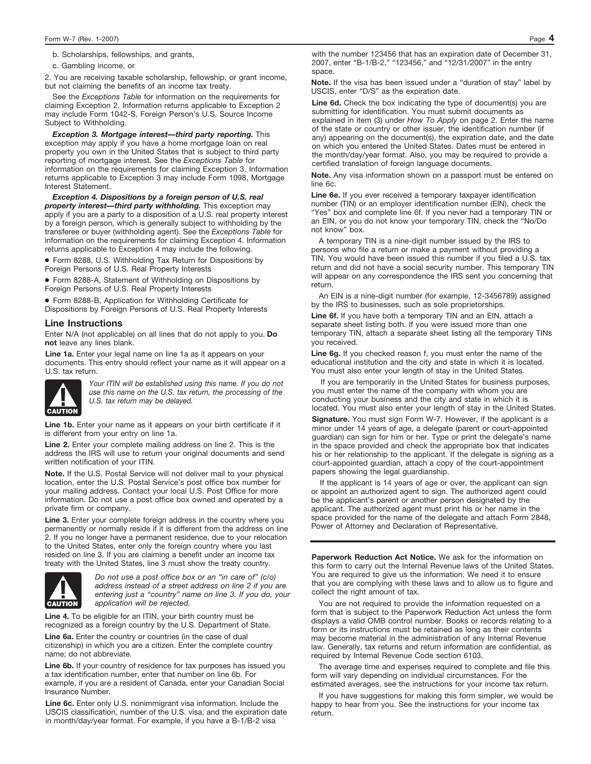b. Scholarships, fellowships, and grants,

c. Gambling income, or

2. You are receiving taxable scholarship, fellowship, or grant income, but not claiming the benefits of an income tax treaty.

See the *Exceptions Table* for information on the requirements for claiming Exception 2. Information returns applicable to Exception 2 may include Form 1042-S, Foreign Person's U.S. Source Income Subject to Withholding.

*Exception 3. Mortgage interest—third party reporting.* This exception may apply if you have a home mortgage loan on real property you own in the United States that is subject to third party reporting of mortgage interest. See the *Exceptions Table* for information on the requirements for claiming Exception 3. Information returns applicable to Exception 3 may include Form 1098, Mortgage Interest Statement.

*Exception 4. Dispositions by a foreign person of U.S. real property interest—third party withholding.* This exception may apply if you are a party to a disposition of a U.S. real property interest by a foreign person, which is generally subject to withholding by the transferee or buyer (withholding agent). See the *Exceptions Table* for information on the requirements for claiming Exception 4. Information returns applicable to Exception 4 may include the following.

● Form 8288, U.S. Withholding Tax Return for Dispositions by Foreign Persons of U.S. Real Property Interests

● Form 8288-A, Statement of Withholding on Dispositions by Foreign Persons of U.S. Real Property Interests

● Form 8288-B, Application for Withholding Certificate for Dispositions by Foreign Persons of U.S. Real Property Interests

#### **Line Instructions**

Enter N/A (not applicable) on all lines that do not apply to you. **Do not** leave any lines blank.

**Line 1a.** Enter your legal name on line 1a as it appears on your documents. This entry should reflect your name as it will appear on a U.S. tax return.



*Your ITIN will be established using this name. If you do not use this name on the U.S. tax return, the processing of the U.S. tax return may be delayed.*

**Line 1b.** Enter your name as it appears on your birth certificate if it is different from your entry on line 1a.

Line 2. Enter your complete mailing address on line 2. This is the address the IRS will use to return your original documents and send written notification of your ITIN.

**Note.** If the U.S. Postal Service will not deliver mail to your physical location, enter the U.S. Postal Service's post office box number for your mailing address. Contact your local U.S. Post Office for more information. Do not use a post office box owned and operated by a private firm or company.

Line 3. Enter your complete foreign address in the country where you permanently or normally reside if it is different from the address on line 2. If you no longer have a permanent residence, due to your relocation to the United States, enter only the foreign country where you last resided on line 3. If you are claiming a benefit under an income tax treaty with the United States, line 3 must show the treaty country.



*Do not use a post office box or an "in care of" (c/o) address instead of a street address on line 2 if you are entering just a "country" name on line 3. If you do, your application will be rejected.*

**Line 4.** To be eligible for an ITIN, your birth country must be recognized as a foreign country by the U.S. Department of State.

Line 6a. Enter the country or countries (in the case of dual citizenship) in which you are a citizen. Enter the complete country name; do not abbreviate.

**Line 6b.** If your country of residence for tax purposes has issued you a tax identification number, enter that number on line 6b. For example, if you are a resident of Canada, enter your Canadian Social Insurance Number.

**Line 6c.** Enter only U.S. nonimmigrant visa information. Include the USCIS classification, number of the U.S. visa, and the expiration date in month/day/year format. For example, if you have a B-1/B-2 visa

with the number 123456 that has an expiration date of December 31, 2007, enter "B-1/B-2," "123456," and "12/31/2007" in the entry space.

**Note.** If the visa has been issued under a "duration of stay" label by USCIS, enter "D/S" as the expiration date.

Line 6d. Check the box indicating the type of document(s) you are submitting for identification. You must submit documents as explained in item (3) under *How To Apply* on page 2. Enter the name of the state or country or other issuer, the identification number (if any) appearing on the document(s), the expiration date, and the date on which you entered the United States. Dates must be entered in the month/day/year format. Also, you may be required to provide a certified translation of foreign language documents.

**Note.** Any visa information shown on a passport must be entered on line 6c.

**Line 6e.** If you ever received a temporary taxpayer identification number (TIN) or an employer identification number (EIN), check the "Yes" box and complete line 6f. If you never had a temporary TIN or an EIN, or you do not know your temporary TIN, check the "No/Do not know" box.

A temporary TIN is a nine-digit number issued by the IRS to persons who file a return or make a payment without providing a TIN. You would have been issued this number if you filed a U.S. tax return and did not have a social security number. This temporary TIN will appear on any correspondence the IRS sent you concerning that return.

An EIN is a nine-digit number (for example, 12-3456789) assigned by the IRS to businesses, such as sole proprietorships.

**Line 6f.** If you have both a temporary TIN and an EIN, attach a separate sheet listing both. If you were issued more than one temporary TIN, attach a separate sheet listing all the temporary TINs you received.

**Line 6g.** If you checked reason f, you must enter the name of the educational institution and the city and state in which it is located. You must also enter your length of stay in the United States.

If you are temporarily in the United States for business purposes, you must enter the name of the company with whom you are conducting your business and the city and state in which it is located. You must also enter your length of stay in the United States.

**Signature.** You must sign Form W-7. However, if the applicant is a minor under 14 years of age, a delegate (parent or court-appointed guardian) can sign for him or her. Type or print the delegate's name in the space provided and check the appropriate box that indicates his or her relationship to the applicant. If the delegate is signing as a court-appointed guardian, attach a copy of the court-appointment papers showing the legal guardianship.

If the applicant is 14 years of age or over, the applicant can sign or appoint an authorized agent to sign. The authorized agent could be the applicant's parent or another person designated by the applicant. The authorized agent must print his or her name in the space provided for the name of the delegate and attach Form 2848, Power of Attorney and Declaration of Representative.

**Paperwork Reduction Act Notice.** We ask for the information on this form to carry out the Internal Revenue laws of the United States. You are required to give us the information. We need it to ensure that you are complying with these laws and to allow us to figure and collect the right amount of tax.

You are not required to provide the information requested on a form that is subject to the Paperwork Reduction Act unless the form displays a valid OMB control number. Books or records relating to a form or its instructions must be retained as long as their contents may become material in the administration of any Internal Revenue law. Generally, tax returns and return information are confidential, as required by Internal Revenue Code section 6103.

The average time and expenses required to complete and file this form will vary depending on individual circumstances. For the estimated averages, see the instructions for your income tax return.

If you have suggestions for making this form simpler, we would be happy to hear from you. See the instructions for your income tax return.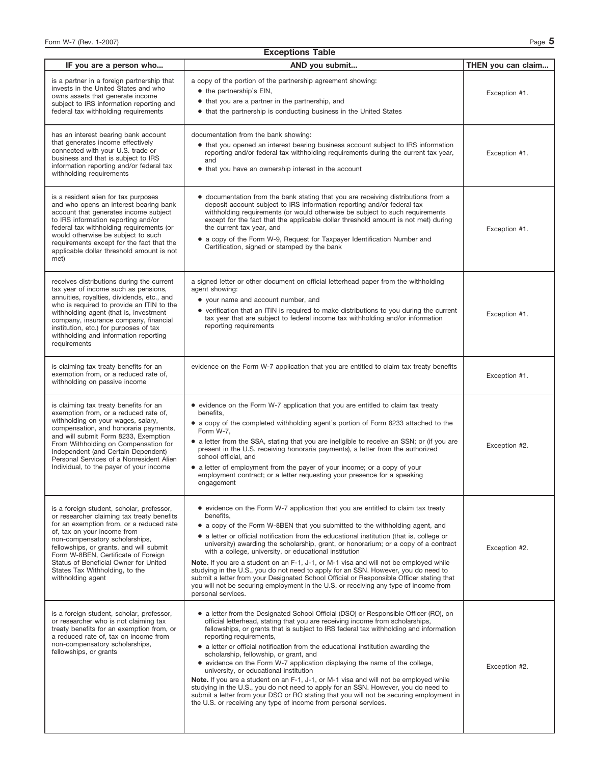| <b>Exceptions Table</b>                                                                                                                                                                                                                                                                                                                                                                |                                                                                                                                                                                                                                                                                                                                                                                                                                                                                                                                                                                                                                                                                                                                                                                                                                                                                                |                    |  |  |  |
|----------------------------------------------------------------------------------------------------------------------------------------------------------------------------------------------------------------------------------------------------------------------------------------------------------------------------------------------------------------------------------------|------------------------------------------------------------------------------------------------------------------------------------------------------------------------------------------------------------------------------------------------------------------------------------------------------------------------------------------------------------------------------------------------------------------------------------------------------------------------------------------------------------------------------------------------------------------------------------------------------------------------------------------------------------------------------------------------------------------------------------------------------------------------------------------------------------------------------------------------------------------------------------------------|--------------------|--|--|--|
| IF you are a person who                                                                                                                                                                                                                                                                                                                                                                | AND you submit                                                                                                                                                                                                                                                                                                                                                                                                                                                                                                                                                                                                                                                                                                                                                                                                                                                                                 | THEN you can claim |  |  |  |
| is a partner in a foreign partnership that<br>invests in the United States and who<br>owns assets that generate income<br>subject to IRS information reporting and<br>federal tax withholding requirements                                                                                                                                                                             | a copy of the portion of the partnership agreement showing:<br>• the partnership's EIN,<br>• that you are a partner in the partnership, and<br>• that the partnership is conducting business in the United States                                                                                                                                                                                                                                                                                                                                                                                                                                                                                                                                                                                                                                                                              | Exception #1.      |  |  |  |
| has an interest bearing bank account<br>that generates income effectively<br>connected with your U.S. trade or<br>business and that is subject to IRS<br>information reporting and/or federal tax<br>withholding requirements                                                                                                                                                          | documentation from the bank showing:<br>• that you opened an interest bearing business account subject to IRS information<br>reporting and/or federal tax withholding requirements during the current tax year,<br>and<br>• that you have an ownership interest in the account                                                                                                                                                                                                                                                                                                                                                                                                                                                                                                                                                                                                                 | Exception #1.      |  |  |  |
| is a resident alien for tax purposes<br>and who opens an interest bearing bank<br>account that generates income subject<br>to IRS information reporting and/or<br>federal tax withholding requirements (or<br>would otherwise be subject to such<br>requirements except for the fact that the<br>applicable dollar threshold amount is not<br>met)                                     | • documentation from the bank stating that you are receiving distributions from a<br>deposit account subject to IRS information reporting and/or federal tax<br>withholding requirements (or would otherwise be subject to such requirements<br>except for the fact that the applicable dollar threshold amount is not met) during<br>the current tax year, and<br>• a copy of the Form W-9, Request for Taxpayer Identification Number and<br>Certification, signed or stamped by the bank                                                                                                                                                                                                                                                                                                                                                                                                    | Exception #1.      |  |  |  |
| receives distributions during the current<br>tax year of income such as pensions,<br>annuities, royalties, dividends, etc., and<br>who is required to provide an ITIN to the<br>withholding agent (that is, investment<br>company, insurance company, financial<br>institution, etc.) for purposes of tax<br>withholding and information reporting<br>requirements                     | a signed letter or other document on official letterhead paper from the withholding<br>agent showing:<br>• your name and account number, and<br>• verification that an ITIN is required to make distributions to you during the current<br>tax year that are subject to federal income tax withholding and/or information<br>reporting requirements                                                                                                                                                                                                                                                                                                                                                                                                                                                                                                                                            | Exception #1.      |  |  |  |
| is claiming tax treaty benefits for an<br>exemption from, or a reduced rate of,<br>withholding on passive income                                                                                                                                                                                                                                                                       | evidence on the Form W-7 application that you are entitled to claim tax treaty benefits                                                                                                                                                                                                                                                                                                                                                                                                                                                                                                                                                                                                                                                                                                                                                                                                        | Exception #1.      |  |  |  |
| is claiming tax treaty benefits for an<br>exemption from, or a reduced rate of,<br>withholding on your wages, salary,<br>compensation, and honoraria payments,<br>and will submit Form 8233, Exemption<br>From Withholding on Compensation for<br>Independent (and Certain Dependent)<br>Personal Services of a Nonresident Alien<br>Individual, to the payer of your income           | • evidence on the Form W-7 application that you are entitled to claim tax treaty<br>benefits.<br>• a copy of the completed withholding agent's portion of Form 8233 attached to the<br>Form W-7,<br>• a letter from the SSA, stating that you are ineligible to receive an SSN; or (if you are<br>present in the U.S. receiving honoraria payments), a letter from the authorized<br>school official, and<br>• a letter of employment from the payer of your income; or a copy of your<br>employment contract; or a letter requesting your presence for a speaking<br>engagement                                                                                                                                                                                                                                                                                                               | Exception #2.      |  |  |  |
| is a foreign student, scholar, professor,<br>or researcher claiming tax treaty benefits<br>for an exemption from, or a reduced rate<br>of, tax on your income from<br>non-compensatory scholarships,<br>fellowships, or grants, and will submit<br>Form W-8BEN, Certificate of Foreign<br>Status of Beneficial Owner for United<br>States Tax Withholding, to the<br>withholding agent | • evidence on the Form W-7 application that you are entitled to claim tax treaty<br>benefits,<br>• a copy of the Form W-8BEN that you submitted to the withholding agent, and<br>• a letter or official notification from the educational institution (that is, college or<br>university) awarding the scholarship, grant, or honorarium; or a copy of a contract<br>with a college, university, or educational institution<br>Note. If you are a student on an F-1, J-1, or M-1 visa and will not be employed while<br>studying in the U.S., you do not need to apply for an SSN. However, you do need to<br>submit a letter from your Designated School Official or Responsible Officer stating that<br>you will not be securing employment in the U.S. or receiving any type of income from<br>personal services.                                                                           | Exception #2.      |  |  |  |
| is a foreign student, scholar, professor,<br>or researcher who is not claiming tax<br>treaty benefits for an exemption from, or<br>a reduced rate of, tax on income from<br>non-compensatory scholarships,<br>fellowships, or grants                                                                                                                                                   | • a letter from the Designated School Official (DSO) or Responsible Officer (RO), on<br>official letterhead, stating that you are receiving income from scholarships,<br>fellowships, or grants that is subject to IRS federal tax withholding and information<br>reporting requirements,<br>• a letter or official notification from the educational institution awarding the<br>scholarship, fellowship, or grant, and<br>• evidence on the Form W-7 application displaying the name of the college,<br>university, or educational institution<br>Note. If you are a student on an F-1, J-1, or M-1 visa and will not be employed while<br>studying in the U.S., you do not need to apply for an SSN. However, you do need to<br>submit a letter from your DSO or RO stating that you will not be securing employment in<br>the U.S. or receiving any type of income from personal services. | Exception #2.      |  |  |  |